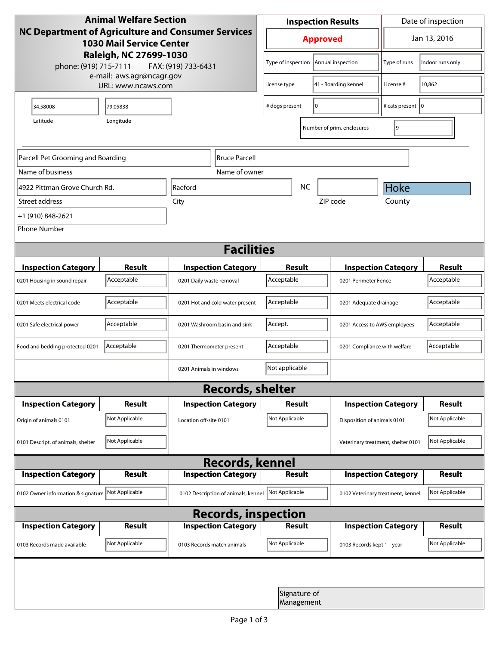| <b>Animal Welfare Section</b><br><b>NC Department of Agriculture and Consumer Services</b><br><b>1030 Mail Service Center</b><br>Raleigh, NC 27699-1030 |                     |                                     | <b>Inspection Results</b>            |                            |                                    | Date of inspection           |                |
|---------------------------------------------------------------------------------------------------------------------------------------------------------|---------------------|-------------------------------------|--------------------------------------|----------------------------|------------------------------------|------------------------------|----------------|
|                                                                                                                                                         |                     |                                     | <b>Approved</b>                      |                            | Jan 13, 2016                       |                              |                |
| phone: (919) 715-7111                                                                                                                                   | FAX: (919) 733-6431 | Type of inspection                  |                                      | Annual inspection          | Type of runs                       | Indoor runs only             |                |
| e-mail: aws.agr@ncagr.gov<br>URL: www.ncaws.com                                                                                                         |                     |                                     | license type                         |                            | 41 - Boarding kennel               | License #                    | 10,862         |
| 34.58008                                                                                                                                                | 79.05838            |                                     | I٥<br># dogs present                 |                            |                                    | # cats present   0           |                |
| Longitude<br>Latitude<br>19<br>Number of prim. enclosures                                                                                               |                     |                                     |                                      |                            |                                    |                              |                |
| Parcell Pet Grooming and Boarding<br>Bruce Parcell                                                                                                      |                     |                                     |                                      |                            |                                    |                              |                |
| Name of business                                                                                                                                        |                     | Name of owner                       |                                      |                            |                                    |                              |                |
| 4922 Pittman Grove Church Rd.                                                                                                                           |                     | <b>NC</b><br>Raeford                |                                      |                            |                                    | Hoke                         |                |
| Street address                                                                                                                                          |                     | City                                |                                      |                            | ZIP code                           | County                       |                |
| +1 (910) 848-2621                                                                                                                                       |                     |                                     |                                      |                            |                                    |                              |                |
| <b>Phone Number</b>                                                                                                                                     |                     |                                     |                                      |                            |                                    |                              |                |
| <b>Facilities</b>                                                                                                                                       |                     |                                     |                                      |                            |                                    |                              |                |
| <b>Inspection Category</b>                                                                                                                              | <b>Result</b>       | <b>Inspection Category</b>          | Result                               |                            | <b>Inspection Category</b>         |                              | <b>Result</b>  |
| 0201 Housing in sound repair                                                                                                                            | Acceptable          | 0201 Daily waste removal            | Acceptable                           |                            | 0201 Perimeter Fence               |                              | Acceptable     |
| 0201 Meets electrical code                                                                                                                              | Acceptable          | 0201 Hot and cold water present     | Acceptable<br>0201 Adequate drainage |                            |                                    | Acceptable                   |                |
| 0201 Safe electrical power                                                                                                                              | Acceptable          | 0201 Washroom basin and sink        | Accept.                              |                            | 0201 Access to AWS employees       |                              | Acceptable     |
| Food and bedding protected 0201                                                                                                                         | Acceptable          | 0201 Thermometer present            | Acceptable                           |                            |                                    | 0201 Compliance with welfare |                |
|                                                                                                                                                         |                     | 0201 Animals in windows             | Not applicable                       |                            |                                    |                              |                |
| <b>Records, shelter</b>                                                                                                                                 |                     |                                     |                                      |                            |                                    |                              |                |
| <b>Inspection Category</b>                                                                                                                              | <b>Result</b>       | <b>Inspection Category</b>          | Result                               |                            |                                    | <b>Inspection Category</b>   | <b>Result</b>  |
| Origin of animals 0101                                                                                                                                  | Not Applicable      | Location off-site 0101              | Not Applicable                       |                            |                                    | Disposition of animals 0101  |                |
| 0101 Descript. of animals, shelter                                                                                                                      | Not Applicable      |                                     |                                      |                            | Veterinary treatment, shelter 0101 |                              | Not Applicable |
| <b>Records, kennel</b>                                                                                                                                  |                     |                                     |                                      |                            |                                    |                              |                |
| <b>Inspection Category</b>                                                                                                                              | <b>Result</b>       | <b>Inspection Category</b>          | <b>Result</b>                        |                            |                                    | <b>Inspection Category</b>   | Result         |
| 0102 Owner information & signature Not Applicable                                                                                                       |                     | 0102 Description of animals, kennel | Not Applicable                       |                            | 0102 Veterinary treatment, kennel  |                              | Not Applicable |
| <b>Records, inspection</b>                                                                                                                              |                     |                                     |                                      |                            |                                    |                              |                |
| <b>Inspection Category</b>                                                                                                                              | <b>Result</b>       | <b>Inspection Category</b>          | Result                               |                            |                                    | <b>Inspection Category</b>   | <b>Result</b>  |
| 0103 Records made available                                                                                                                             | Not Applicable      | 0103 Records match animals          | Not Applicable                       |                            | 0103 Records kept 1+ year          |                              | Not Applicable |
|                                                                                                                                                         |                     |                                     |                                      |                            |                                    |                              |                |
|                                                                                                                                                         |                     |                                     |                                      | Signature of<br>Management |                                    |                              |                |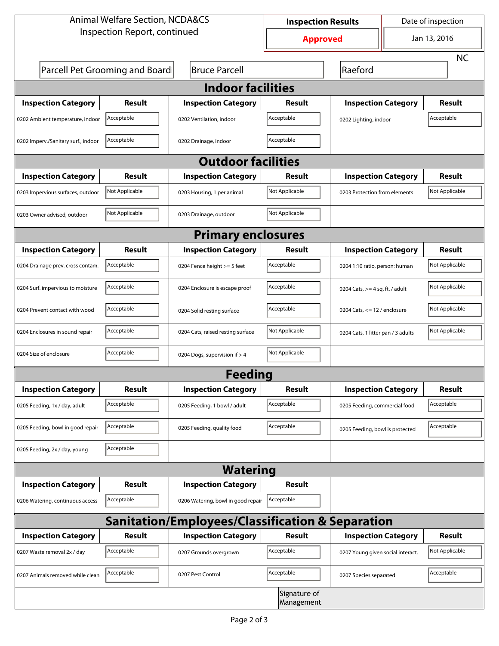| <b>Animal Welfare Section, NCDA&amp;CS</b>                  |                                 |                                    | <b>Inspection Results</b> |                                     | Date of inspection |                |  |  |
|-------------------------------------------------------------|---------------------------------|------------------------------------|---------------------------|-------------------------------------|--------------------|----------------|--|--|
| Inspection Report, continued                                |                                 |                                    | <b>Approved</b>           |                                     | Jan 13, 2016       |                |  |  |
|                                                             |                                 |                                    |                           |                                     |                    | <b>NC</b>      |  |  |
|                                                             | Parcell Pet Grooming and Boardi | <b>Bruce Parcell</b>               |                           | Raeford                             |                    |                |  |  |
| <b>Indoor facilities</b>                                    |                                 |                                    |                           |                                     |                    |                |  |  |
| <b>Inspection Category</b>                                  | Result                          | <b>Inspection Category</b>         | Result                    | <b>Inspection Category</b>          |                    | Result         |  |  |
| 0202 Ambient temperature, indoor                            | Acceptable                      | 0202 Ventilation, indoor           | Acceptable                | Acceptable<br>0202 Lighting, indoor |                    |                |  |  |
| 0202 Imperv./Sanitary surf., indoor                         | Acceptable                      | 0202 Drainage, indoor              | Acceptable                |                                     |                    |                |  |  |
| <b>Outdoor facilities</b>                                   |                                 |                                    |                           |                                     |                    |                |  |  |
| <b>Inspection Category</b>                                  | Result                          | <b>Inspection Category</b>         | Result                    | <b>Inspection Category</b>          |                    | Result         |  |  |
| 0203 Impervious surfaces, outdoor                           | Not Applicable                  | 0203 Housing, 1 per animal         | Not Applicable            | 0203 Protection from elements       |                    | Not Applicable |  |  |
| 0203 Owner advised, outdoor                                 | Not Applicable                  | 0203 Drainage, outdoor             | Not Applicable            |                                     |                    |                |  |  |
| <b>Primary enclosures</b>                                   |                                 |                                    |                           |                                     |                    |                |  |  |
| <b>Inspection Category</b>                                  | Result                          | <b>Inspection Category</b>         | Result                    | <b>Inspection Category</b>          |                    | Result         |  |  |
| 0204 Drainage prev. cross contam.                           | Acceptable                      | 0204 Fence height >= 5 feet        | Acceptable                | 0204 1:10 ratio, person: human      |                    | Not Applicable |  |  |
| 0204 Surf. impervious to moisture                           | Acceptable                      | 0204 Enclosure is escape proof     | Acceptable                | 0204 Cats, $>=$ 4 sq. ft. / adult   |                    | Not Applicable |  |  |
| 0204 Prevent contact with wood                              | Acceptable                      | 0204 Solid resting surface         | Acceptable                | 0204 Cats, $<= 12$ / enclosure      |                    | Not Applicable |  |  |
| 0204 Enclosures in sound repair                             | Acceptable                      | 0204 Cats, raised resting surface  | Not Applicable            | 0204 Cats, 1 litter pan / 3 adults  |                    | Not Applicable |  |  |
| 0204 Size of enclosure                                      | Acceptable                      | 0204 Dogs, supervision if > 4      | Not Applicable            |                                     |                    |                |  |  |
| <b>Feeding</b>                                              |                                 |                                    |                           |                                     |                    |                |  |  |
| <b>Inspection Category</b>                                  | <b>Result</b>                   | <b>Inspection Category</b>         | <b>Result</b>             | <b>Inspection Category</b>          |                    | <b>Result</b>  |  |  |
| 0205 Feeding, 1x / day, adult                               | Acceptable                      | 0205 Feeding, 1 bowl / adult       | Acceptable                | 0205 Feeding, commercial food       |                    | Acceptable     |  |  |
| 0205 Feeding, bowl in good repair                           | Acceptable                      | 0205 Feeding, quality food         | Acceptable                | 0205 Feeding, bowl is protected     |                    | Acceptable     |  |  |
| 0205 Feeding, 2x / day, young                               | Acceptable                      |                                    |                           |                                     |                    |                |  |  |
| <b>Watering</b>                                             |                                 |                                    |                           |                                     |                    |                |  |  |
| <b>Inspection Category</b>                                  | <b>Result</b>                   | <b>Inspection Category</b>         | <b>Result</b>             |                                     |                    |                |  |  |
| 0206 Watering, continuous access                            | Acceptable                      | 0206 Watering, bowl in good repair | Acceptable                |                                     |                    |                |  |  |
| <b>Sanitation/Employees/Classification &amp; Separation</b> |                                 |                                    |                           |                                     |                    |                |  |  |
| <b>Inspection Category</b>                                  | <b>Result</b>                   | <b>Inspection Category</b>         | Result                    | <b>Inspection Category</b>          |                    | <b>Result</b>  |  |  |
| 0207 Waste removal 2x / day                                 | Acceptable                      | 0207 Grounds overgrown             | Acceptable                | 0207 Young given social interact.   |                    | Not Applicable |  |  |
| 0207 Animals removed while clean                            | Acceptable                      | 0207 Pest Control                  | Acceptable                | 0207 Species separated              |                    | Acceptable     |  |  |
| Signature of<br>Management                                  |                                 |                                    |                           |                                     |                    |                |  |  |